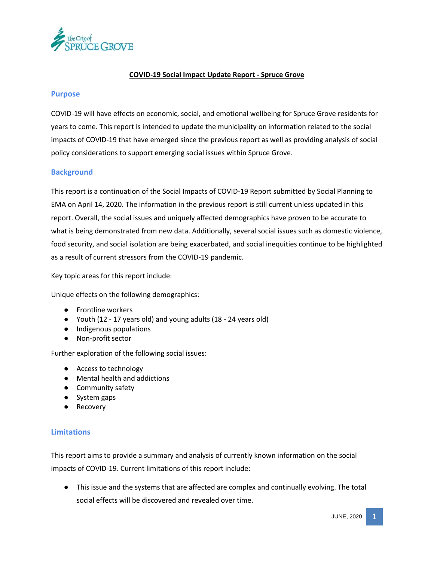

## **COVID-19 Social Impact Update Report - Spruce Grove**

#### **Purpose**

COVID-19 will have effects on economic, social, and emotional wellbeing for Spruce Grove residents for years to come. This report is intended to update the municipality on information related to the social impacts of COVID-19 that have emerged since the previous report as well as providing analysis of social policy considerations to support emerging social issues within Spruce Grove.

### **Background**

This report is a continuation of the Social Impacts of COVID-19 Report submitted by Social Planning to EMA on April 14, 2020. The information in the previous report is still current unless updated in this report. Overall, the social issues and uniquely affected demographics have proven to be accurate to what is being demonstrated from new data. Additionally, several social issues such as domestic violence, food security, and social isolation are being exacerbated, and social inequities continue to be highlighted as a result of current stressors from the COVID-19 pandemic.

Key topic areas for this report include:

Unique effects on the following demographics:

- Frontline workers
- Youth (12 17 years old) and young adults (18 24 years old)
- Indigenous populations
- Non-profit sector

Further exploration of the following social issues:

- Access to technology
- Mental health and addictions
- Community safety
- System gaps
- **Recovery**

### **Limitations**

This report aims to provide a summary and analysis of currently known information on the social impacts of COVID-19. Current limitations of this report include:

● This issue and the systems that are affected are complex and continually evolving. The total social effects will be discovered and revealed over time.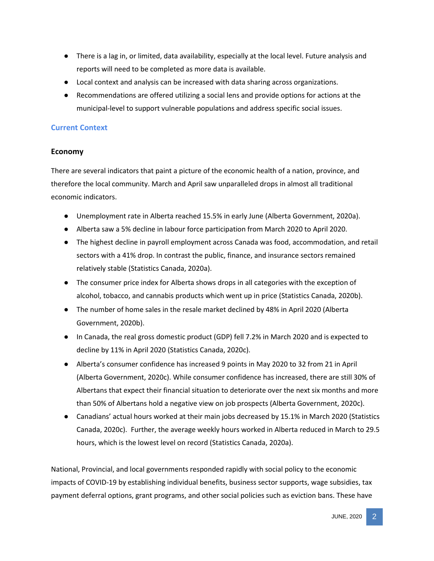- There is a lag in, or limited, data availability, especially at the local level. Future analysis and reports will need to be completed as more data is available.
- Local context and analysis can be increased with data sharing across organizations.
- Recommendations are offered utilizing a social lens and provide options for actions at the municipal-level to support vulnerable populations and address specific social issues.

# **Current Context**

# **Economy**

There are several indicators that paint a picture of the economic health of a nation, province, and therefore the local community. March and April saw unparalleled drops in almost all traditional economic indicators.

- Unemployment rate in Alberta reached 15.5% in early June (Alberta Government, 2020a).
- Alberta saw a 5% decline in labour force participation from March 2020 to April 2020.
- The highest decline in payroll employment across Canada was food, accommodation, and retail sectors with a 41% drop. In contrast the public, finance, and insurance sectors remained relatively stable (Statistics Canada, 2020a).
- The consumer price index for Alberta shows drops in all categories with the exception of alcohol, tobacco, and cannabis products which went up in price (Statistics Canada, 2020b).
- The number of home sales in the resale market declined by 48% in April 2020 (Alberta Government, 2020b).
- In Canada, the real gross domestic product (GDP) fell 7.2% in March 2020 and is expected to decline by 11% in April 2020 (Statistics Canada, 2020c).
- Alberta's consumer confidence has increased 9 points in May 2020 to 32 from 21 in April (Alberta Government, 2020c). While consumer confidence has increased, there are still 30% of Albertans that expect their financial situation to deteriorate over the next six months and more than 50% of Albertans hold a negative view on job prospects (Alberta Government, 2020c).
- Canadians' actual hours worked at their main jobs decreased by 15.1% in March 2020 (Statistics Canada, 2020c). Further, the average weekly hours worked in Alberta reduced in March to 29.5 hours, which is the lowest level on record (Statistics Canada, 2020a).

National, Provincial, and local governments responded rapidly with social policy to the economic impacts of COVID-19 by establishing individual benefits, business sector supports, wage subsidies, tax payment deferral options, grant programs, and other social policies such as eviction bans. These have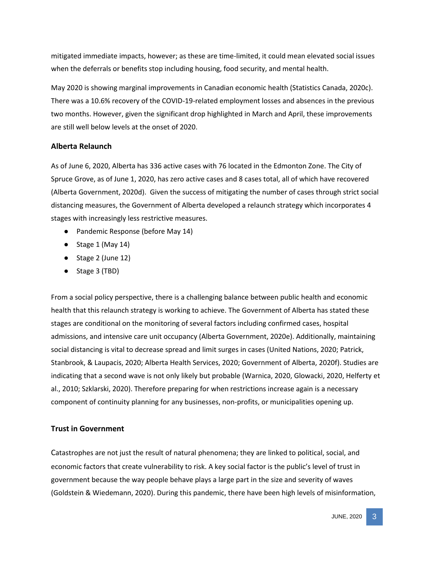mitigated immediate impacts, however; as these are time-limited, it could mean elevated social issues when the deferrals or benefits stop including housing, food security, and mental health.

May 2020 is showing marginal improvements in Canadian economic health (Statistics Canada, 2020c). There was a 10.6% recovery of the COVID-19-related employment losses and absences in the previous two months. However, given the significant drop highlighted in March and April, these improvements are still well below levels at the onset of 2020.

### **Alberta Relaunch**

As of June 6, 2020, Alberta has 336 active cases with 76 located in the Edmonton Zone. The City of Spruce Grove, as of June 1, 2020, has zero active cases and 8 cases total, all of which have recovered (Alberta Government, 2020d). Given the success of mitigating the number of cases through strict social distancing measures, the Government of Alberta developed a relaunch strategy which incorporates 4 stages with increasingly less restrictive measures.

- Pandemic Response (before May 14)
- $\bullet$  Stage 1 (May 14)
- Stage 2 (June 12)
- Stage 3 (TBD)

From a social policy perspective, there is a challenging balance between public health and economic health that this relaunch strategy is working to achieve. The Government of Alberta has stated these stages are conditional on the monitoring of several factors including confirmed cases, hospital admissions, and intensive care unit occupancy (Alberta Government, 2020e). Additionally, maintaining social distancing is vital to decrease spread and limit surges in cases (United Nations, 2020; Patrick, Stanbrook, & Laupacis, 2020; Alberta Health Services, 2020; Government of Alberta, 2020f). Studies are indicating that a second wave is not only likely but probable (Warnica, 2020, Glowacki, 2020, Helferty et al., 2010; Szklarski, 2020). Therefore preparing for when restrictions increase again is a necessary component of continuity planning for any businesses, non-profits, or municipalities opening up.

### **Trust in Government**

Catastrophes are not just the result of natural phenomena; they are linked to political, social, and economic factors that create vulnerability to risk. A key social factor is the public's level of trust in government because the way people behave plays a large part in the size and severity of waves (Goldstein & Wiedemann, 2020). During this pandemic, there have been high levels of misinformation,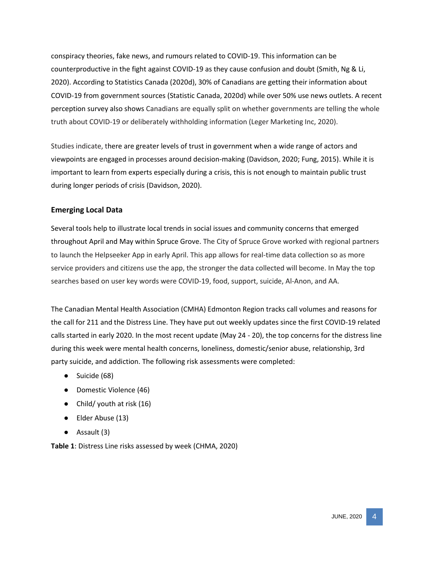conspiracy theories, fake news, and rumours related to COVID‐19. This information can be counterproductive in the fight against COVID-19 as they cause confusion and doubt (Smith, Ng & Li, 2020). According to Statistics Canada (2020d), 30% of Canadians are getting their information about COVID-19 from government sources (Statistic Canada, 2020d) while over 50% use news outlets. A recent perception survey also shows Canadians are equally split on whether governments are telling the whole truth about COVID-19 or deliberately withholding information (Leger Marketing Inc, 2020).

Studies indicate, there are greater levels of trust in government when a wide range of actors and viewpoints are engaged in processes around decision-making (Davidson, 2020; Fung, 2015). While it is important to learn from experts especially during a crisis, this is not enough to maintain public trust during longer periods of crisis (Davidson, 2020).

# **Emerging Local Data**

Several tools help to illustrate local trends in social issues and community concerns that emerged throughout April and May within Spruce Grove. The City of Spruce Grove worked with regional partners to launch the Helpseeker App in early April. This app allows for real-time data collection so as more service providers and citizens use the app, the stronger the data collected will become. In May the top searches based on user key words were COVID-19, food, support, suicide, Al-Anon, and AA.

The Canadian Mental Health Association (CMHA) Edmonton Region tracks call volumes and reasons for the call for 211 and the Distress Line. They have put out weekly updates since the first COVID-19 related calls started in early 2020. In the most recent update (May 24 - 20), the top concerns for the distress line during this week were mental health concerns, loneliness, domestic/senior abuse, relationship, 3rd party suicide, and addiction. The following risk assessments were completed:

- Suicide (68)
- Domestic Violence (46)
- Child/ youth at risk (16)
- Elder Abuse (13)
- Assault (3)

**Table 1**: Distress Line risks assessed by week (CHMA, 2020)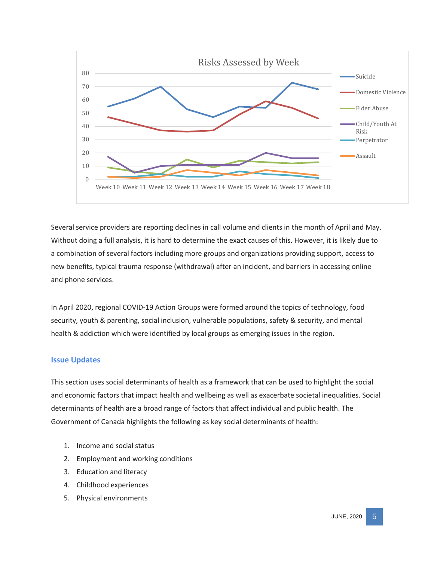

Several service providers are reporting declines in call volume and clients in the month of April and May. Without doing a full analysis, it is hard to determine the exact causes of this. However, it is likely due to a combination of several factors including more groups and organizations providing support, access to new benefits, typical trauma response (withdrawal) after an incident, and barriers in accessing online and phone services.

In April 2020, regional COVID-19 Action Groups were formed around the topics of technology, food security, youth & parenting, social inclusion, vulnerable populations, safety & security, and mental health & addiction which were identified by local groups as emerging issues in the region.

### **Issue Updates**

This section uses social determinants of health as a framework that can be used to highlight the social and economic factors that impact health and wellbeing as well as exacerbate societal inequalities. Social determinants of health are a broad range of factors that affect individual and public health. The Government of Canada highlights the following as key social determinants of health:

- 1. Income and social status
- 2. Employment and working conditions
- 3. Education and literacy
- 4. Childhood experiences
- 5. Physical environments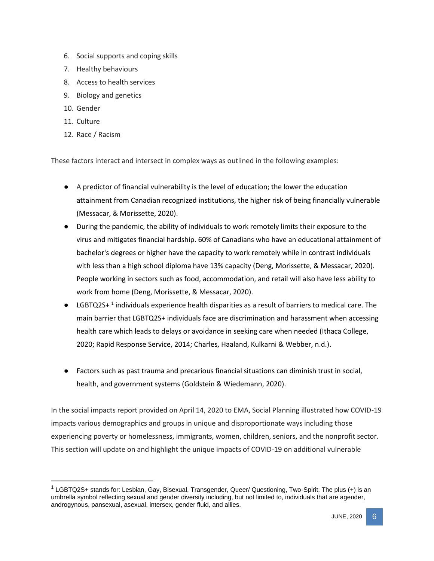- 6. Social supports and coping skills
- 7. Healthy behaviours
- 8. Access to health services
- 9. Biology and genetics
- 10. Gender
- 11. Culture

 $\overline{a}$ 

12. Race / Racism

These factors interact and intersect in complex ways as outlined in the following examples:

- A predictor of financial vulnerability is the level of education; the lower the education attainment from Canadian recognized institutions, the higher risk of being financially vulnerable (Messacar, & Morissette, 2020).
- During the pandemic, the ability of individuals to work remotely limits their exposure to the virus and mitigates financial hardship. 60% of Canadians who have an educational attainment of bachelor's degrees or higher have the capacity to work remotely while in contrast individuals with less than a high school diploma have 13% capacity (Deng, Morissette, & Messacar, 2020). People working in sectors such as food, accommodation, and retail will also have less ability to work from home (Deng, Morissette, & Messacar, 2020).
- $\bullet$  LGBTQ2S+<sup>1</sup> individuals experience health disparities as a result of barriers to medical care. The main barrier that LGBTQ2S+ individuals face are discrimination and harassment when accessing health care which leads to delays or avoidance in seeking care when needed (Ithaca College, 2020; Rapid Response Service, 2014; Charles, Haaland, Kulkarni & Webber, n.d.).
- Factors such as past trauma and precarious financial situations can diminish trust in social, health, and government systems (Goldstein & Wiedemann, 2020).

In the social impacts report provided on April 14, 2020 to EMA, Social Planning illustrated how COVID-19 impacts various demographics and groups in unique and disproportionate ways including those experiencing poverty or homelessness, immigrants, women, children, seniors, and the nonprofit sector. This section will update on and highlight the unique impacts of COVID-19 on additional vulnerable

<sup>&</sup>lt;sup>1</sup> LGBTQ2S+ stands for: Lesbian, Gay, Bisexual, Transgender, Queer/ Questioning, Two-Spirit. The plus (+) is an umbrella symbol reflecting sexual and gender diversity including, but not limited to, individuals that are agender, androgynous, pansexual, asexual, intersex, gender fluid, and allies.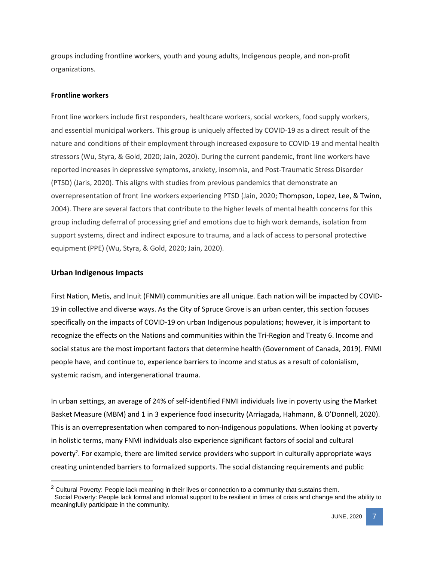groups including frontline workers, youth and young adults, Indigenous people, and non-profit organizations.

#### **Frontline workers**

Front line workers include first responders, healthcare workers, social workers, food supply workers, and essential municipal workers. This group is uniquely affected by COVID-19 as a direct result of the nature and conditions of their employment through increased exposure to COVID-19 and mental health stressors (Wu, Styra, & Gold, 2020; Jain, 2020). During the current pandemic, front line workers have reported increases in depressive symptoms, anxiety, insomnia, and Post-Traumatic Stress Disorder (PTSD) (Jaris, 2020). This aligns with studies from previous pandemics that demonstrate an overrepresentation of front line workers experiencing PTSD (Jain, 2020; Thompson, Lopez, Lee, & Twinn[,](https://onlinelibrary.wiley.com/doi/10.1111/jocn.15231#jocn15231-bib-0016) 2004). There are several factors that contribute to the higher levels of mental health concerns for this group including deferral of processing grief and emotions due to high work demands, isolation from support systems, direct and indirect exposure to trauma, and a lack of access to personal protective equipment (PPE) (Wu, Styra, & Gold, 2020; Jain, 2020).

#### **Urban Indigenous Impacts**

 $\overline{a}$ 

First Nation, Metis, and Inuit (FNMI) communities are all unique. Each nation will be impacted by COVID-19 in collective and diverse ways. As the City of Spruce Grove is an urban center, this section focuses specifically on the impacts of COVID-19 on urban Indigenous populations; however, it is important to recognize the effects on the Nations and communities within the Tri-Region and Treaty 6. Income and social status are the most important factors that determine health (Government of Canada, 2019). FNMI people have, and continue to, experience barriers to income and status as a result of colonialism, systemic racism, and intergenerational trauma.

In urban settings, an average of 24% of self-identified FNMI individuals live in poverty using the Market Basket Measure (MBM) and 1 in 3 experience food insecurity (Arriagada, Hahmann, & O'Donnell, 2020). This is an overrepresentation when compared to non-Indigenous populations. When looking at poverty in holistic terms, many FNMI individuals also experience significant factors of social and cultural poverty<sup>2</sup>. For example, there are limited service providers who support in culturally appropriate ways creating unintended barriers to formalized supports. The social distancing requirements and public

 $2$  Cultural Poverty: People lack meaning in their lives or connection to a community that sustains them. Social Poverty: People lack formal and informal support to be resilient in times of crisis and change and the ability to meaningfully participate in the community.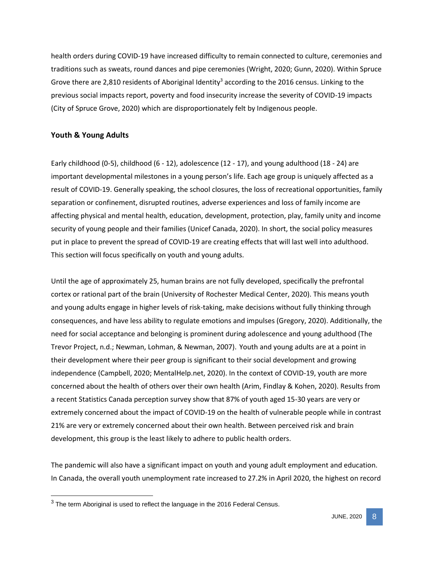health orders during COVID-19 have increased difficulty to remain connected to culture, ceremonies and traditions such as sweats, round dances and pipe ceremonies (Wright, 2020; Gunn, 2020). Within Spruce Grove there are 2,810 residents of Aboriginal Identity<sup>3</sup> according to the 2016 census. Linking to the previous social impacts report, poverty and food insecurity increase the severity of COVID-19 impacts (City of Spruce Grove, 2020) which are disproportionately felt by Indigenous people.

### **Youth & Young Adults**

Early childhood (0-5), childhood (6 - 12), adolescence (12 - 17), and young adulthood (18 - 24) are important developmental milestones in a young person's life. Each age group is uniquely affected as a result of COVID-19. Generally speaking, the school closures, the loss of recreational opportunities, family separation or confinement, disrupted routines, adverse experiences and loss of family income are affecting physical and mental health, education, development, protection, play, family unity and income security of young people and their families (Unicef Canada, 2020). In short, the social policy measures put in place to prevent the spread of COVID-19 are creating effects that will last well into adulthood. This section will focus specifically on youth and young adults.

Until the age of approximately 25, human brains are not fully developed, specifically the prefrontal cortex or rational part of the brain (University of Rochester Medical Center, 2020). This means youth and young adults engage in higher levels of risk-taking, make decisions without fully thinking through consequences, and have less ability to regulate emotions and impulses (Gregory, 2020). Additionally, the need for social acceptance and belonging is prominent during adolescence and young adulthood (The Trevor Project, n.d.; Newman, Lohman, & Newman, 2007). Youth and young adults are at a point in their development where their peer group is significant to their social development and growing independence (Campbell, 2020; MentalHelp.net, 2020). In the context of COVID-19, youth are more concerned about the health of others over their own health (Arim, Findlay & Kohen, 2020). Results from a recent Statistics Canada perception survey show that 87% of youth aged 15-30 years are very or extremely concerned about the impact of COVID-19 on the health of vulnerable people while in contrast 21% are very or extremely concerned about their own health. Between perceived risk and brain development, this group is the least likely to adhere to public health orders.

The pandemic will also have a significant impact on youth and young adult employment and education. In Canada, the overall youth unemployment rate increased to 27.2% in April 2020, the highest on record

 $3$  The term Aboriginal is used to reflect the language in the 2016 Federal Census.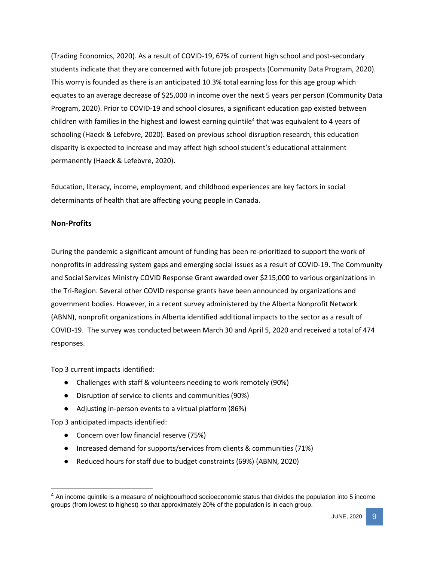(Trading Economics, 2020). As a result of COVID-19, 67% of current high school and post-secondary students indicate that they are concerned with future job prospects (Community Data Program, 2020). This worry is founded as there is an anticipated 10.3% total earning loss for this age group which equates to an average decrease of \$25,000 in income over the next 5 years per person (Community Data Program, 2020). Prior to COVID-19 and school closures, a significant education gap existed between children with families in the highest and lowest earning quintile<sup>4</sup> that was equivalent to 4 years of schooling (Haeck & Lefebvre, 2020). Based on previous school disruption research, this education disparity is expected to increase and may affect high school student's educational attainment permanently (Haeck & Lefebvre, 2020).

Education, literacy, income, employment, and childhood experiences are key factors in social determinants of health that are affecting young people in Canada.

## **Non-Profits**

During the pandemic a significant amount of funding has been re-prioritized to support the work of nonprofits in addressing system gaps and emerging social issues as a result of COVID-19. The Community and Social Services Ministry COVID Response Grant awarded over \$215,000 to various organizations in the Tri-Region. Several other COVID response grants have been announced by organizations and government bodies. However, in a recent survey administered by the Alberta Nonprofit Network (ABNN), nonprofit organizations in Alberta identified additional impacts to the sector as a result of COVID-19. The survey was conducted between March 30 and April 5, 2020 and received a total of 474 responses.

Top 3 current impacts identified:

- Challenges with staff & volunteers needing to work remotely (90%)
- Disruption of service to clients and communities (90%)
- Adjusting in-person events to a virtual platform (86%)

Top 3 anticipated impacts identified:

- Concern over low financial reserve (75%)
- Increased demand for supports/services from clients & communities (71%)
- Reduced hours for staff due to budget constraints (69%) (ABNN, 2020)

 $<sup>4</sup>$  An income quintile is a measure of neighbourhood socioeconomic status that divides the population into 5 income</sup> groups (from lowest to highest) so that approximately 20% of the population is in each group.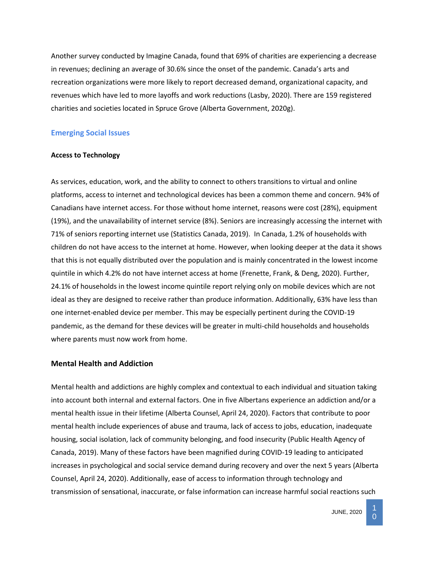Another survey conducted by Imagine Canada, found that 69% of charities are experiencing a decrease in revenues; declining an average of 30.6% since the onset of the pandemic. Canada's arts and recreation organizations were more likely to report decreased demand, organizational capacity, and revenues which have led to more layoffs and work reductions (Lasby, 2020). There are 159 registered charities and societies located in Spruce Grove (Alberta Government, 2020g).

### **Emerging Social Issues**

#### **Access to Technology**

As services, education, work, and the ability to connect to others transitions to virtual and online platforms, access to internet and technological devices has been a common theme and concern. 94% of Canadians have internet access. For those without home internet, reasons were cost (28%), equipment (19%), and the unavailability of internet service (8%). Seniors are increasingly accessing the internet with 71% of seniors reporting internet use (Statistics Canada, 2019). In Canada, 1.2% of households with children do not have access to the internet at home. However, when looking deeper at the data it shows that this is not equally distributed over the population and is mainly concentrated in the lowest income quintile in which 4.2% do not have internet access at home (Frenette, Frank, & Deng, 2020). Further, 24.1% of households in the lowest income quintile report relying only on mobile devices which are not ideal as they are designed to receive rather than produce information. Additionally, 63% have less than one internet-enabled device per member. This may be especially pertinent during the COVID-19 pandemic, as the demand for these devices will be greater in multi-child households and households where parents must now work from home.

#### **Mental Health and Addiction**

Mental health and addictions are highly complex and contextual to each individual and situation taking into account both internal and external factors. One in five Albertans experience an addiction and/or a mental health issue in their lifetime (Alberta Counsel, April 24, 2020). Factors that contribute to poor mental health include experiences of abuse and trauma, lack of access to jobs, education, inadequate housing, social isolation, lack of community belonging, and food insecurity (Public Health Agency of Canada, 2019). Many of these factors have been magnified during COVID-19 leading to anticipated increases in psychological and social service demand during recovery and over the next 5 years (Alberta Counsel, April 24, 2020). Additionally, ease of access to information through technology and transmission of sensational, inaccurate, or false information can increase harmful social reactions such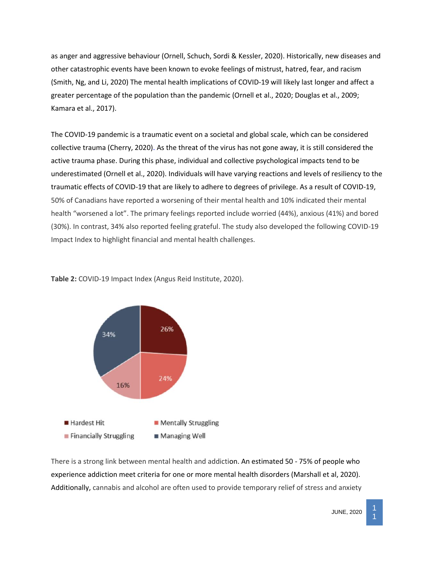as anger and aggressive behaviour (Ornell, Schuch, Sordi & Kessler, 2020). Historically, new diseases and other catastrophic events have been known to evoke feelings of mistrust, hatred, fear, and racism (Smith, Ng, and Li, 2020) The mental health implications of COVID-19 will likely last longer and affect a greater percentage of the population than the pandemic (Ornell et al., 2020; Douglas et al., 2009; Kamara et al., 2017).

The COVID-19 pandemic is a traumatic event on a societal and global scale, which can be considered collective trauma (Cherry, 2020). As the threat of the virus has not gone away, it is still considered the active trauma phase. During this phase, individual and collective psychological impacts tend to be underestimated (Ornell et al., 2020). Individuals will have varying reactions and levels of resiliency to the traumatic effects of COVID-19 that are likely to adhere to degrees of privilege. As a result of COVID-19, 50% of Canadians have reported a worsening of their mental health and 10% indicated their mental health "worsened a lot". The primary feelings reported include worried (44%), anxious (41%) and bored (30%). In contrast, 34% also reported feeling grateful. The study also developed the following COVID-19 Impact Index to highlight financial and mental health challenges.

**Table 2:** COVID-19 Impact Index (Angus Reid Institute, 2020).



There is a strong link between mental health and addiction. An estimated 50 - 75% of people who experience addiction meet criteria for one or more mental health disorders (Marshall et al, 2020). Additionally, cannabis and alcohol are often used to provide temporary relief of stress and anxiety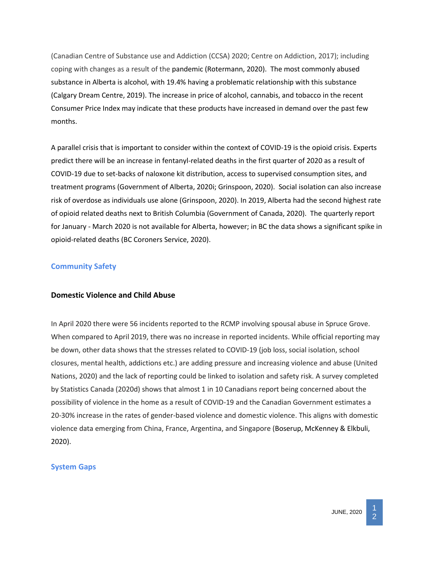(Canadian Centre of Substance use and Addiction (CCSA) 2020; Centre on Addiction, 2017); including coping with changes as a result of the pandemic (Rotermann, 2020). The most commonly abused substance in Alberta is alcohol, with 19.4% having a problematic relationship with this substance (Calgary Dream Centre, 2019). The increase in price of alcohol, cannabis, and tobacco in the recent Consumer Price Index may indicate that these products have increased in demand over the past few months.

A parallel crisis that is important to consider within the context of COVID-19 is the opioid crisis. Experts predict there will be an increase in fentanyl-related deaths in the first quarter of 2020 as a result of COVID-19 due to set-backs of naloxone kit distribution, access to supervised consumption sites, and treatment programs (Government of Alberta, 2020i; Grinspoon, 2020). Social isolation can also increase risk of overdose as individuals use alone (Grinspoon, 2020). In 2019, Alberta had the second highest rate of opioid related deaths next to British Columbia (Government of Canada, 2020). The quarterly report for January - March 2020 is not available for Alberta, however; in BC the data shows a significant spike in opioid-related deaths (BC Coroners Service, 2020).

## **Community Safety**

### **Domestic Violence and Child Abuse**

In April 2020 there were 56 incidents reported to the RCMP involving spousal abuse in Spruce Grove. When compared to April 2019, there was no increase in reported incidents. While official reporting may be down, other data shows that the stresses related to COVID-19 (job loss, social isolation, school closures, mental health, addictions etc.) are adding pressure and increasing violence and abuse (United Nations, 2020) and the lack of reporting could be linked to isolation and safety risk. A survey completed by Statistics Canada (2020d) shows that almost 1 in 10 Canadians report being concerned about the possibility of violence in the home as a result of COVID-19 and the Canadian Government estimates a 20-30% increase in the rates of gender-based violence and domestic violence. This aligns with domestic violence data emerging from China, France, Argentina, and Singapore (Boserup, McKenney & Elkbuli, 2020).

# **System Gaps**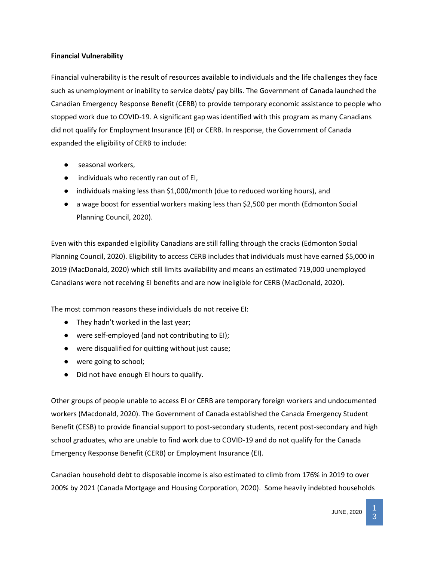## **Financial Vulnerability**

Financial vulnerability is the result of resources available to individuals and the life challenges they face such as unemployment or inability to service debts/ pay bills. The Government of Canada launched the Canadian Emergency Response Benefit (CERB) to provide temporary economic assistance to people who stopped work due to COVID-19. A significant gap was identified with this program as many Canadians did not qualify for Employment Insurance (EI) or CERB. In response, the Government of Canada expanded the eligibility of CERB to include:

- seasonal workers.
- individuals who recently ran out of EI,
- individuals making less than \$1,000/month (due to reduced working hours), and
- a wage boost for essential workers making less than \$2,500 per month (Edmonton Social Planning Council, 2020).

Even with this expanded eligibility Canadians are still falling through the cracks (Edmonton Social Planning Council, 2020). Eligibility to access CERB includes that individuals must have earned \$5,000 in 2019 (MacDonald, 2020) which still limits availability and means an estimated 719,000 unemployed Canadians were not receiving EI benefits and are now ineligible for CERB (MacDonald, 2020).

The most common reasons these individuals do not receive EI:

- They hadn't worked in the last year;
- were self-employed (and not contributing to EI);
- were disqualified for quitting without just cause;
- were going to school;
- Did not have enough EI hours to qualify.

Other groups of people unable to access EI or CERB are temporary foreign workers and undocumented workers (Macdonald, 2020). The Government of Canada established the Canada Emergency Student Benefit (CESB) to provide financial support to post-secondary students, recent post-secondary and high school graduates, who are unable to find work due to COVID-19 and do not qualify for the Canada Emergency Response Benefit (CERB) or Employment Insurance (EI).

Canadian household debt to disposable income is also estimated to climb from 176% in 2019 to over 200% by 2021 (Canada Mortgage and Housing Corporation, 2020). Some heavily indebted households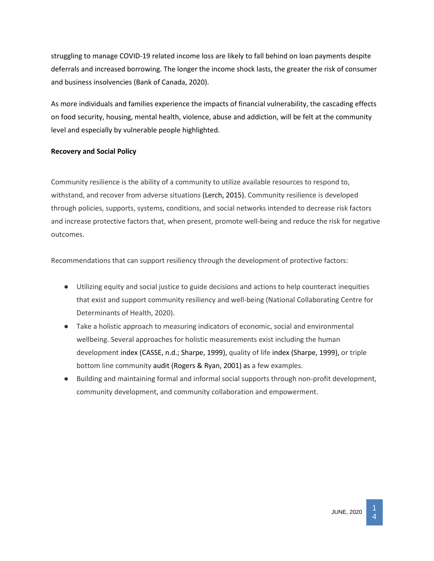struggling to manage COVID-19 related income loss are likely to fall behind on loan payments despite deferrals and increased borrowing. The longer the income shock lasts, the greater the risk of consumer and business insolvencies (Bank of Canada, 2020).

As more individuals and families experience the impacts of financial vulnerability, the cascading effects on food security, housing, mental health, violence, abuse and addiction, will be felt at the community level and especially by vulnerable people highlighted.

## **Recovery and Social Policy**

Community resilience is the ability of a community to utilize available resources to respond to, withstand, and recover from adverse situations (Lerch, 2015). Community resilience is developed through policies, supports, systems, conditions, and social networks intended to decrease risk factors and increase protective factors that, when present, promote well-being and reduce the risk for negative outcomes.

Recommendations that can support resiliency through the development of protective factors:

- Utilizing equity and social justice to guide decisions and actions to help counteract inequities that exist and support community resiliency and well-being (National Collaborating Centre for Determinants of Health, 2020).
- Take a holistic approach to measuring indicators of economic, social and environmental wellbeing. Several approaches for holistic measurements exist including the human development index (CASSE, n.d.; Sharpe, 1999), quality of life index (Sharpe, 1999), or triple bottom line community audit (Rogers & Ryan, 2001) as a few examples.
- Building and maintaining formal and informal social supports through non-profit development, community development, and community collaboration and empowerment.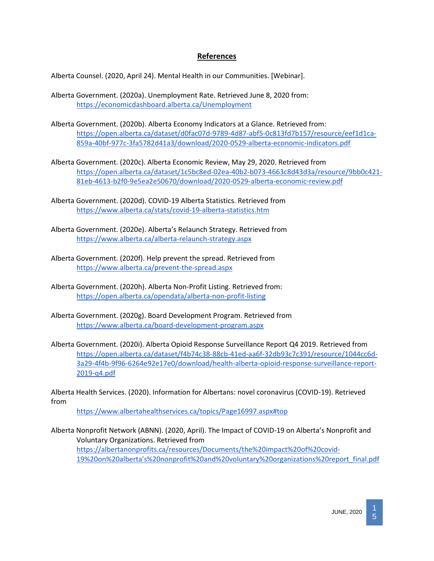# **References**

Alberta Counsel. (2020, April 24). Mental Health in our Communities. [Webinar].

- Alberta Government. (2020a). Unemployment Rate. Retrieved June 8, 2020 from[:](https://economicdashboard.alberta.ca/Unemployment) <https://economicdashboard.alberta.ca/Unemployment>
- Alberta Government. (2020b). Alberta Economy Indicators at a Glance. Retrieved from: [https://open.alberta.ca/dataset/d0fac07d-9789-4d87-abf5-0c813fd7b157/resource/eef1d1ca-](https://open.alberta.ca/dataset/d0fac07d-9789-4d87-abf5-0c813fd7b157/resource/eef1d1ca-859a-40bf-977c-3fa5782d41a3/download/2020-0529-alberta-economic-indicators.pdf)[859a-40bf-977c-3fa5782d41a3/download/2020-0529-alberta-economic-indicators.pdf](https://open.alberta.ca/dataset/d0fac07d-9789-4d87-abf5-0c813fd7b157/resource/eef1d1ca-859a-40bf-977c-3fa5782d41a3/download/2020-0529-alberta-economic-indicators.pdf)
- Alberta Government. (2020c). Alberta Economic Review, May 29, 2020. Retrieved from [https://open.alberta.ca/dataset/1c5bc8ed-02ea-40b2-b073-4663c8d43d3a/resource/9bb0c421-](https://open.alberta.ca/dataset/1c5bc8ed-02ea-40b2-b073-4663c8d43d3a/resource/9bb0c421-81eb-4613-b2f0-9e5ea2e50670/download/2020-0529-alberta-economic-review.pdf) [81eb-4613-b2f0-9e5ea2e50670/download/2020-0529-alberta-economic-review.pdf](https://open.alberta.ca/dataset/1c5bc8ed-02ea-40b2-b073-4663c8d43d3a/resource/9bb0c421-81eb-4613-b2f0-9e5ea2e50670/download/2020-0529-alberta-economic-review.pdf)
- Alberta Government. (2020d). COVID-19 Alberta Statistics. Retrieved from <https://www.alberta.ca/stats/covid-19-alberta-statistics.htm>
- Alberta Government. (2020e). Alberta's Relaunch Strategy. Retrieved from <https://www.alberta.ca/alberta-relaunch-strategy.aspx>
- Alberta Government. (2020f). Help prevent the spread. Retrieved from <https://www.alberta.ca/prevent-the-spread.aspx>
- Alberta Government. (2020h). Alberta Non-Profit Listing. Retrieved from: <https://open.alberta.ca/opendata/alberta-non-profit-listing>
- Alberta Government. (2020g). Board Development Program. Retrieved from <https://www.alberta.ca/board-development-program.aspx>
- Alberta Government. (2020i). Alberta Opioid Response Surveillance Report Q4 2019. Retrieved from [https://open.alberta.ca/dataset/f4b74c38-88cb-41ed-aa6f-32db93c7c391/resource/1044cc6d-](https://open.alberta.ca/dataset/f4b74c38-88cb-41ed-aa6f-32db93c7c391/resource/1044cc6d-3a29-4f4b-9f96-6264e92e17e0/download/health-alberta-opioid-response-surveillance-report-2019-q4.pdf)[3a29-4f4b-9f96-6264e92e17e0/download/health-alberta-opioid-response-surveillance-report-](https://open.alberta.ca/dataset/f4b74c38-88cb-41ed-aa6f-32db93c7c391/resource/1044cc6d-3a29-4f4b-9f96-6264e92e17e0/download/health-alberta-opioid-response-surveillance-report-2019-q4.pdf)[2019-q4.pdf](https://open.alberta.ca/dataset/f4b74c38-88cb-41ed-aa6f-32db93c7c391/resource/1044cc6d-3a29-4f4b-9f96-6264e92e17e0/download/health-alberta-opioid-response-surveillance-report-2019-q4.pdf)

Alberta Health Services. (2020). Information for Albertans: novel coronavirus (COVID-19). Retrieved from

<https://www.albertahealthservices.ca/topics/Page16997.aspx#top>

Alberta Nonprofit Network (ABNN). (2020, April). The Impact of COVID-19 on Alberta's Nonprofit and Voluntary Organizations. Retrieved from [https://albertanonprofits.ca/resources/Documents/the%20impact%20of%20covid-](https://albertanonprofits.ca/resources/Documents/the%20impact%20of%20covid-19%20on%20alberta)[19%20on%20alberta's%20nonprofit%20and%20voluntary%20organizations%20report\\_final.pdf](https://albertanonprofits.ca/resources/Documents/the%20impact%20of%20covid-19%20on%20alberta)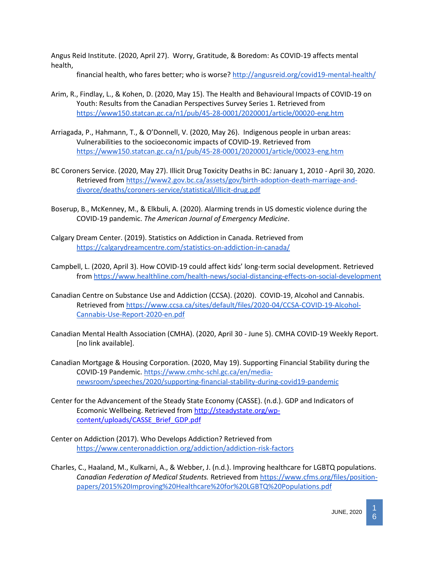Angus Reid Institute. (2020, April 27). Worry, Gratitude, & Boredom: As COVID-19 affects mental health,

financial health, who fares better; who is worse?<http://angusreid.org/covid19-mental-health/>

- Arim, R., Findlay, L., & Kohen, D. (2020, May 15). The Health and Behavioural Impacts of COVID-19 on Youth: Results from the Canadian Perspectives Survey Series 1. Retrieved from <https://www150.statcan.gc.ca/n1/pub/45-28-0001/2020001/article/00020-eng.htm>
- Arriagada, P., Hahmann, T., & O'Donnell, V. (2020, May 26). Indigenous people in urban areas: Vulnerabilities to the socioeconomic impacts of COVID-19. Retrieved from <https://www150.statcan.gc.ca/n1/pub/45-28-0001/2020001/article/00023-eng.htm>
- BC Coroners Service. (2020, May 27). Illicit Drug Toxicity Deaths in BC: January 1, 2010 April 30, 2020. Retrieved from [https://www2.gov.bc.ca/assets/gov/birth-adoption-death-marriage-and](https://www2.gov.bc.ca/assets/gov/birth-adoption-death-marriage-and-divorce/deaths/coroners-service/statistical/illicit-drug.pdf)[divorce/deaths/coroners-service/statistical/illicit-drug.pdf](https://www2.gov.bc.ca/assets/gov/birth-adoption-death-marriage-and-divorce/deaths/coroners-service/statistical/illicit-drug.pdf)
- Boserup, B., McKenney, M., & Elkbuli, A. (2020). Alarming trends in US domestic violence during the COVID-19 pandemic. *The American Journal of Emergency Medicine*.
- Calgary Dream Center. (2019). Statistics on Addiction in Canada. Retrieved from <https://calgarydreamcentre.com/statistics-on-addiction-in-canada/>
- Campbell, L. (2020, April 3). How COVID-19 could affect kids' long-term social development. Retrieved from<https://www.healthline.com/health-news/social-distancing-effects-on-social-development>
- Canadian Centre on Substance Use and Addiction (CCSA). (2020). COVID-19, Alcohol and Cannabis. Retrieved from [https://www.ccsa.ca/sites/default/files/2020-04/CCSA-COVID-19-Alcohol-](https://www.ccsa.ca/sites/default/files/2020-04/CCSA-COVID-19-Alcohol-Cannabis-Use-Report-2020-en.pdf)[Cannabis-Use-Report-2020-en.pdf](https://www.ccsa.ca/sites/default/files/2020-04/CCSA-COVID-19-Alcohol-Cannabis-Use-Report-2020-en.pdf)
- Canadian Mental Health Association (CMHA). (2020, April 30 June 5). CMHA COVID-19 Weekly Report. [no link available].
- Canadian Mortgage & Housing Corporation. (2020, May 19). Supporting Financial Stability during the COVID-19 Pandemic. [https://www.cmhc-schl.gc.ca/en/media](https://www.cmhc-schl.gc.ca/en/media-newsroom/speeches/2020/supporting-financial-stability-during-covid19-pandemic)[newsroom/speeches/2020/supporting-financial-stability-during-covid19-pandemic](https://www.cmhc-schl.gc.ca/en/media-newsroom/speeches/2020/supporting-financial-stability-during-covid19-pandemic)
- Center for the Advancement of the Steady State Economy (CASSE). (n.d.). GDP and Indicators of Ecomonic Wellbeing. Retrieved from [http://steadystate.org/wp](http://steadystate.org/wp-content/uploads/CASSE_Brief_GDP.pdf)[content/uploads/CASSE\\_Brief\\_GDP.pdf](http://steadystate.org/wp-content/uploads/CASSE_Brief_GDP.pdf)
- Center on Addiction (2017). Who Develops Addiction? Retrieved from <https://www.centeronaddiction.org/addiction/addiction-risk-factors>
- Charles, C., Haaland, M., Kulkarni, A., & Webber, J. (n.d.). Improving healthcare for LGBTQ populations. *Canadian Federation of Medical Students.* Retrieved from [https://www.cfms.org/files/position](https://www.cfms.org/files/position-papers/2015%20Improving%20Healthcare%20for%20LGBTQ%20Populations.pdf)[papers/2015%20Improving%20Healthcare%20for%20LGBTQ%20Populations.pdf](https://www.cfms.org/files/position-papers/2015%20Improving%20Healthcare%20for%20LGBTQ%20Populations.pdf)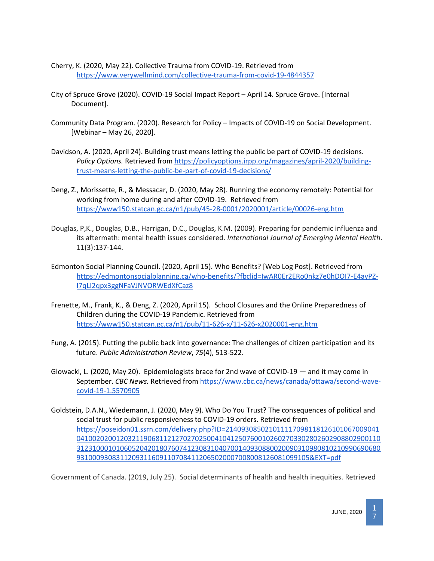- Cherry, K. (2020, May 22). Collective Trauma from COVID-19. Retrieved from <https://www.verywellmind.com/collective-trauma-from-covid-19-4844357>
- City of Spruce Grove (2020). COVID-19 Social Impact Report April 14. Spruce Grove. [Internal Document].
- Community Data Program. (2020). Research for Policy Impacts of COVID-19 on Social Development. [Webinar – May 26, 2020].
- Davidson, A. (2020, April 24). Building trust means letting the public be part of COVID-19 decisions. *Policy Options.* Retrieved from [https://policyoptions.irpp.org/magazines/april-2020/building](https://policyoptions.irpp.org/magazines/april-2020/building-trust-means-letting-the-public-be-part-of-covid-19-decisions/)[trust-means-letting-the-public-be-part-of-covid-19-decisions/](https://policyoptions.irpp.org/magazines/april-2020/building-trust-means-letting-the-public-be-part-of-covid-19-decisions/)
- Deng, Z., Morissette, R., & Messacar, D. (2020, May 28). Running the economy remotely: Potential for working from home during and after COVID-19. Retrieved from <https://www150.statcan.gc.ca/n1/pub/45-28-0001/2020001/article/00026-eng.htm>
- Douglas, P,K., Douglas, D.B., Harrigan, D.C., Douglas, K.M. (2009). Preparing for pandemic influenza and its aftermath: mental health issues considered. *International Journal of Emerging Mental Health*. 11(3):137‐144.
- Edmonton Social Planning Council. (2020, April 15). Who Benefits? [Web Log Post]. Retrieved from [https://edmontonsocialplanning.ca/who-benefits/?fbclid=IwAR0Er2ERo0nkz7e0hDOI7-E4ayPZ-](https://edmontonsocialplanning.ca/who-benefits/?fbclid=IwAR0Er2ERo0nkz7e0hDOI7-E4ayPZ-I7qLI2qpx3ggNFaVJNVORWEdXfCaz8)[I7qLI2qpx3ggNFaVJNVORWEdXfCaz8](https://edmontonsocialplanning.ca/who-benefits/?fbclid=IwAR0Er2ERo0nkz7e0hDOI7-E4ayPZ-I7qLI2qpx3ggNFaVJNVORWEdXfCaz8)
- Frenette, M., Frank, K., & Deng, Z. (2020, April 15). School Closures and the Online Preparedness of Children during the COVID-19 Pandemic. Retrieved from <https://www150.statcan.gc.ca/n1/pub/11-626-x/11-626-x2020001-eng.htm>
- Fung, A. (2015). Putting the public back into governance: The challenges of citizen participation and its future. *Public Administration Review*, *75*(4), 513-522.
- Glowacki, L. (2020, May 20). Epidemiologists brace for 2nd wave of COVID-19 and it may come in September. *CBC News.* Retrieved from [https://www.cbc.ca/news/canada/ottawa/second-wave](https://www.cbc.ca/news/canada/ottawa/second-wave-covid-19-1.5570905)[covid-19-1.5570905](https://www.cbc.ca/news/canada/ottawa/second-wave-covid-19-1.5570905)
- Goldstein, D.A.N., Wiedemann, J. (2020, May 9). Who Do You Trust? The consequences of political and social trust for public responsiveness to COVID-19 orders. Retrieved from [https://poseidon01.ssrn.com/delivery.php?ID=214093085021011117098118126101067009041](https://poseidon01.ssrn.com/delivery.php?ID=214093085021011117098118126101067009041041002020012032119068112127027025004104125076001026027033028026029088029001103123100010106052042018076074123083104070014093088002009031098081021099069068093100093083112093116091107084112065020007008008126081099105&EXT=pdf) [04100202001203211906811212702702500410412507600102602703302802602908802900110](https://poseidon01.ssrn.com/delivery.php?ID=214093085021011117098118126101067009041041002020012032119068112127027025004104125076001026027033028026029088029001103123100010106052042018076074123083104070014093088002009031098081021099069068093100093083112093116091107084112065020007008008126081099105&EXT=pdf) [31231000101060520420180760741230831040700140930880020090310980810210990690680](https://poseidon01.ssrn.com/delivery.php?ID=214093085021011117098118126101067009041041002020012032119068112127027025004104125076001026027033028026029088029001103123100010106052042018076074123083104070014093088002009031098081021099069068093100093083112093116091107084112065020007008008126081099105&EXT=pdf) [93100093083112093116091107084112065020007008008126081099105&EXT=pdf](https://poseidon01.ssrn.com/delivery.php?ID=214093085021011117098118126101067009041041002020012032119068112127027025004104125076001026027033028026029088029001103123100010106052042018076074123083104070014093088002009031098081021099069068093100093083112093116091107084112065020007008008126081099105&EXT=pdf)

Government of Canada. (2019, July 25). Social determinants of health and health inequities. Retrieved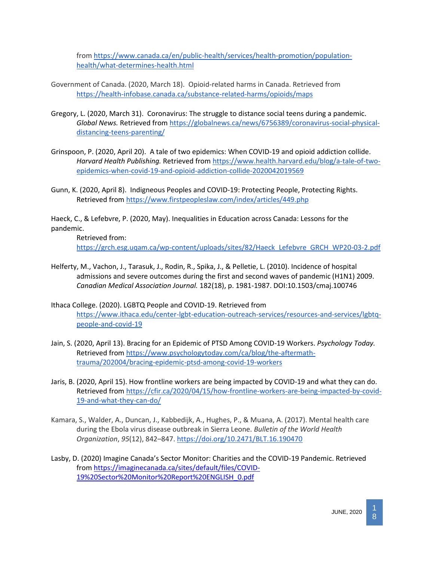from [https://www.canada.ca/en/public-health/services/health-promotion/population](https://www.canada.ca/en/public-health/services/health-promotion/population-health/what-determines-health.html)[health/what-determines-health.html](https://www.canada.ca/en/public-health/services/health-promotion/population-health/what-determines-health.html)

- Government of Canada. (2020, March 18). Opioid-related harms in Canada. Retrieved from <https://health-infobase.canada.ca/substance-related-harms/opioids/maps>
- Gregory, L. (2020, March 31). Coronavirus: The struggle to distance social teens during a pandemic. *Global News.* Retrieved from [https://globalnews.ca/news/6756389/coronavirus-social-physical](https://globalnews.ca/news/6756389/coronavirus-social-physical-distancing-teens-parenting/)[distancing-teens-parenting/](https://globalnews.ca/news/6756389/coronavirus-social-physical-distancing-teens-parenting/)
- Grinspoon, P. (2020, April 20). A tale of two epidemics: When COVID-19 and opioid addiction collide. *Harvard Health Publishing.* Retrieved from [https://www.health.harvard.edu/blog/a-tale-of-two](https://www.health.harvard.edu/blog/a-tale-of-two-epidemics-when-covid-19-and-opioid-addiction-collide-2020042019569)[epidemics-when-covid-19-and-opioid-addiction-collide-2020042019569](https://www.health.harvard.edu/blog/a-tale-of-two-epidemics-when-covid-19-and-opioid-addiction-collide-2020042019569)
- Gunn, K. (2020, April 8). Indigneous Peoples and COVID-19: Protecting People, Protecting Rights. Retrieved from<https://www.firstpeopleslaw.com/index/articles/449.php>

Haeck, C., & Lefebvre, P. (2020, May). Inequalities in Education across Canada: Lessons for the pandemic.

Retrieved from: [https://grch.esg.uqam.ca/wp-content/uploads/sites/82/Haeck\\_Lefebvre\\_GRCH\\_WP20-03-2.pdf](https://grch.esg.uqam.ca/wp-content/uploads/sites/82/Haeck_Lefebvre_GRCH_WP20-03-2.pdf)

- Helferty, M., Vachon, J., Tarasuk, J., Rodin, R., Spika, J., & Pelletie, L. (2010). Incidence of hospital admissions and severe outcomes during the first and second waves of pandemic (H1N1) 2009. *Canadian Medical Association Journal.* 182(18), p. 1981-1987. DOI:10.1503/cmaj.100746
- Ithaca College. (2020). LGBTQ People and COVID-19. Retrieved from [https://www.ithaca.edu/center-lgbt-education-outreach-services/resources-and-services/lgbtq](https://www.ithaca.edu/center-lgbt-education-outreach-services/resources-and-services/lgbtq-people-and-covid-19)[people-and-covid-19](https://www.ithaca.edu/center-lgbt-education-outreach-services/resources-and-services/lgbtq-people-and-covid-19)
- Jain, S. (2020, April 13). Bracing for an Epidemic of PTSD Among COVID-19 Workers. *Psychology Today.* Retrieved from [https://www.psychologytoday.com/ca/blog/the-aftermath](https://www.psychologytoday.com/ca/blog/the-aftermath-trauma/202004/bracing-epidemic-ptsd-among-covid-19-workers)[trauma/202004/bracing-epidemic-ptsd-among-covid-19-workers](https://www.psychologytoday.com/ca/blog/the-aftermath-trauma/202004/bracing-epidemic-ptsd-among-covid-19-workers)
- Jaris, B. (2020, April 15). How frontline workers are being impacted by COVID-19 and what they can do. Retrieved from [https://cfir.ca/2020/04/15/how-frontline-workers-are-being-impacted-by-covid-](https://cfir.ca/2020/04/15/how-frontline-workers-are-being-impacted-by-covid-19-and-what-they-can-do/)[19-and-what-they-can-do/](https://cfir.ca/2020/04/15/how-frontline-workers-are-being-impacted-by-covid-19-and-what-they-can-do/)
- Kamara, S., Walder, A., Duncan, J., Kabbedijk, A., Hughes, P., & Muana, A. (2017). Mental health care during the Ebola virus disease outbreak in Sierra Leone. *Bulletin of the World Health Organization*, *95*(12), 842–847[. https://doi.org/10.2471/BLT.16.190470](https://doi.org/10.2471/BLT.16.190470)
- Lasby, D. (2020) Imagine Canada's Sector Monitor: Charities and the COVID-19 Pandemic. Retrieved from [https://imaginecanada.ca/sites/default/files/COVID-](https://imaginecanada.ca/sites/default/files/COVID-19%20Sector%20Monitor%20Report%20ENGLISH_0.pdf)[19%20Sector%20Monitor%20Report%20ENGLISH\\_0.pdf](https://imaginecanada.ca/sites/default/files/COVID-19%20Sector%20Monitor%20Report%20ENGLISH_0.pdf)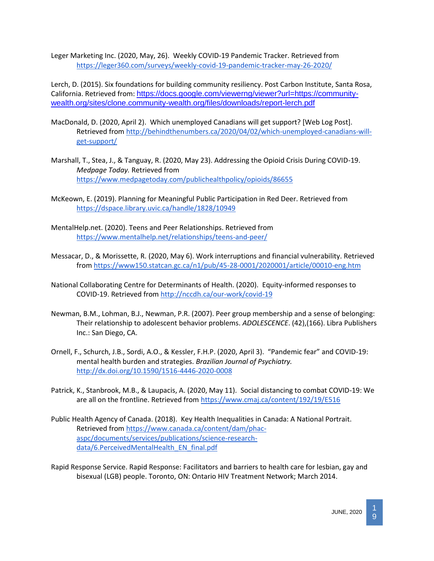Leger Marketing Inc. (2020, May, 26). Weekly COVID-19 Pandemic Tracker. Retrieved from <https://leger360.com/surveys/weekly-covid-19-pandemic-tracker-may-26-2020/>

Lerch, D. (2015). Six foundations for building community resiliency. Post Carbon Institute, Santa Rosa, California. Retrieved from: [https://docs.google.com/viewerng/viewer?url=https://community](https://docs.google.com/viewerng/viewer?url=https://community-wealth.org/sites/clone.community-wealth.org/files/downloads/report-lerch.pdf)[wealth.org/sites/clone.community-wealth.org/files/downloads/report-lerch.pdf](https://docs.google.com/viewerng/viewer?url=https://community-wealth.org/sites/clone.community-wealth.org/files/downloads/report-lerch.pdf)

- MacDonald, D. (2020, April 2). Which unemployed Canadians will get support? [Web Log Post]. Retrieved from [http://behindthenumbers.ca/2020/04/02/which-unemployed-canadians-will](http://behindthenumbers.ca/2020/04/02/which-unemployed-canadians-will-get-support/)[get-support/](http://behindthenumbers.ca/2020/04/02/which-unemployed-canadians-will-get-support/)
- Marshall, T., Stea, J., & Tanguay, R. (2020, May 23). Addressing the Opioid Crisis During COVID-19. *Medpage Today.* Retrieved from <https://www.medpagetoday.com/publichealthpolicy/opioids/86655>
- McKeown, E. (2019). Planning for Meaningful Public Participation in Red Deer. Retrieved from <https://dspace.library.uvic.ca/handle/1828/10949>
- MentalHelp.net. (2020). Teens and Peer Relationships. Retrieved from <https://www.mentalhelp.net/relationships/teens-and-peer/>
- Messacar, D., & Morissette, R. (2020, May 6). Work interruptions and financial vulnerability. Retrieved from<https://www150.statcan.gc.ca/n1/pub/45-28-0001/2020001/article/00010-eng.htm>
- National Collaborating Centre for Determinants of Health. (2020). Equity-informed responses to COVID-19. Retrieved fro[m http://nccdh.ca/our-work/covid-19](http://nccdh.ca/our-work/covid-19)
- Newman, B.M., Lohman, B.J., Newman, P.R. (2007). Peer group membership and a sense of belonging: Their relationship to adolescent behavior problems. *ADOLESCENCE*. (42),(166). Libra Publishers Inc.: San Diego, CA.
- Ornell, F., Schurch, J.B., Sordi, A.O., & Kessler, F.H.P. (2020, April 3). "Pandemic fear" and COVID-19: mental health burden and strategies. *Brazilian Journal of Psychiatry.*  <http://dx.doi.org/10.1590/1516-4446-2020-0008>
- Patrick, K., Stanbrook, M.B., & Laupacis, A. (2020, May 11). Social distancing to combat COVID-19: We are all on the frontline. Retrieved from<https://www.cmaj.ca/content/192/19/E516>
- Public Health Agency of Canada. (2018). Key Health Inequalities in Canada: A National Portrait. Retrieved from [https://www.canada.ca/content/dam/phac](https://www.canada.ca/content/dam/phac-aspc/documents/services/publications/science-research-data/6.PerceivedMentalHealth_EN_final.pdf)[aspc/documents/services/publications/science-research](https://www.canada.ca/content/dam/phac-aspc/documents/services/publications/science-research-data/6.PerceivedMentalHealth_EN_final.pdf)[data/6.PerceivedMentalHealth\\_EN\\_final.pdf](https://www.canada.ca/content/dam/phac-aspc/documents/services/publications/science-research-data/6.PerceivedMentalHealth_EN_final.pdf)
- Rapid Response Service. Rapid Response: Facilitators and barriers to health care for lesbian, gay and bisexual (LGB) people. Toronto, ON: Ontario HIV Treatment Network; March 2014.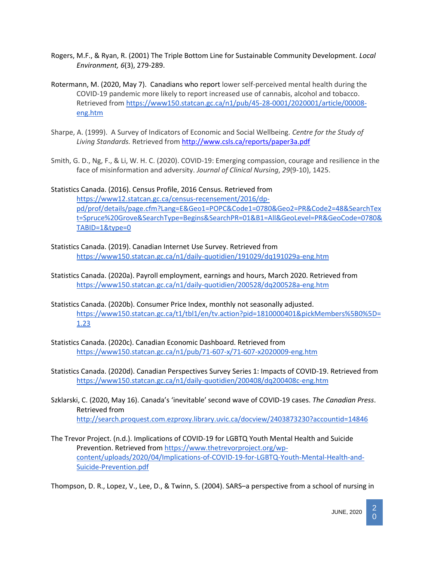- Rogers, M.F., & Ryan, R. (2001) The Triple Bottom Line for Sustainable Community Development. *Local Environment, 6*(3), 279-289.
- Rotermann, M. (2020, May 7). Canadians who report lower self-perceived mental health during the COVID-19 pandemic more likely to report increased use of cannabis, alcohol and tobacco. Retrieved from [https://www150.statcan.gc.ca/n1/pub/45-28-0001/2020001/article/00008](https://www150.statcan.gc.ca/n1/pub/45-28-0001/2020001/article/00008-eng.htm) [eng.htm](https://www150.statcan.gc.ca/n1/pub/45-28-0001/2020001/article/00008-eng.htm)
- Sharpe, A. (1999). A Survey of Indicators of Economic and Social Wellbeing. *Centre for the Study of Living Standards.* Retrieved from <http://www.csls.ca/reports/paper3a.pdf>
- Smith, G. D., Ng, F., & Li, W. H. C. (2020). COVID‐19: Emerging compassion, courage and resilience in the face of misinformation and adversity. *Journal of Clinical Nursing*, *29*(9-10), 1425.
- Statistics Canada. (2016). Census Profile, 2016 Census. Retrieved from [https://www12.statcan.gc.ca/census-recensement/2016/dp](https://www12.statcan.gc.ca/census-recensement/2016/dp-pd/prof/details/page.cfm?Lang=E&Geo1=POPC&Code1=0780&Geo2=PR&Code2=48&SearchText=Spruce%20Grove&SearchType=Begins&SearchPR=01&B1=All&GeoLevel=PR&GeoCode=0780&TABID=1&type=0)[pd/prof/details/page.cfm?Lang=E&Geo1=POPC&Code1=0780&Geo2=PR&Code2=48&SearchTex](https://www12.statcan.gc.ca/census-recensement/2016/dp-pd/prof/details/page.cfm?Lang=E&Geo1=POPC&Code1=0780&Geo2=PR&Code2=48&SearchText=Spruce%20Grove&SearchType=Begins&SearchPR=01&B1=All&GeoLevel=PR&GeoCode=0780&TABID=1&type=0) [t=Spruce%20Grove&SearchType=Begins&SearchPR=01&B1=All&GeoLevel=PR&GeoCode=0780&](https://www12.statcan.gc.ca/census-recensement/2016/dp-pd/prof/details/page.cfm?Lang=E&Geo1=POPC&Code1=0780&Geo2=PR&Code2=48&SearchText=Spruce%20Grove&SearchType=Begins&SearchPR=01&B1=All&GeoLevel=PR&GeoCode=0780&TABID=1&type=0) [TABID=1&type=0](https://www12.statcan.gc.ca/census-recensement/2016/dp-pd/prof/details/page.cfm?Lang=E&Geo1=POPC&Code1=0780&Geo2=PR&Code2=48&SearchText=Spruce%20Grove&SearchType=Begins&SearchPR=01&B1=All&GeoLevel=PR&GeoCode=0780&TABID=1&type=0)
- Statistics Canada. (2019). Canadian Internet Use Survey. Retrieved from <https://www150.statcan.gc.ca/n1/daily-quotidien/191029/dq191029a-eng.htm>
- Statistics Canada. (2020a). Payroll employment, earnings and hours, March 2020. Retrieved from <https://www150.statcan.gc.ca/n1/daily-quotidien/200528/dq200528a-eng.htm>
- Statistics Canada. (2020b). Consumer Price Index, monthly not seasonally adjusted. [https://www150.statcan.gc.ca/t1/tbl1/en/tv.action?pid=1810000401&pickMembers%5B0%5D=](https://www150.statcan.gc.ca/t1/tbl1/en/tv.action?pid=1810000401&pickMembers%5B0%5D=1.23) [1.23](https://www150.statcan.gc.ca/t1/tbl1/en/tv.action?pid=1810000401&pickMembers%5B0%5D=1.23)
- Statistics Canada. (2020c). Canadian Economic Dashboard. Retrieved from <https://www150.statcan.gc.ca/n1/pub/71-607-x/71-607-x2020009-eng.htm>
- Statistics Canada. (2020d). Canadian Perspectives Survey Series 1: Impacts of COVID-19. Retrieved from <https://www150.statcan.gc.ca/n1/daily-quotidien/200408/dq200408c-eng.htm>
- Szklarski, C. (2020, May 16). Canada's 'inevitable' second wave of COVID-19 cases. *The Canadian Press*. Retrieved from <http://search.proquest.com.ezproxy.library.uvic.ca/docview/2403873230?accountid=14846>
- The Trevor Project. (n.d.). Implications of COVID-19 for LGBTQ Youth Mental Health and Suicide Prevention. Retrieved from [https://www.thetrevorproject.org/wp](https://www.thetrevorproject.org/wp-content/uploads/2020/04/Implications-of-COVID-19-for-LGBTQ-Youth-Mental-Health-and-Suicide-Prevention.pdf)[content/uploads/2020/04/Implications-of-COVID-19-for-LGBTQ-Youth-Mental-Health-and-](https://www.thetrevorproject.org/wp-content/uploads/2020/04/Implications-of-COVID-19-for-LGBTQ-Youth-Mental-Health-and-Suicide-Prevention.pdf)[Suicide-Prevention.pdf](https://www.thetrevorproject.org/wp-content/uploads/2020/04/Implications-of-COVID-19-for-LGBTQ-Youth-Mental-Health-and-Suicide-Prevention.pdf)

Thompson, D. R., Lopez, V., Lee, D., & Twinn, S. (2004). SARS–a perspective from a school of nursing in